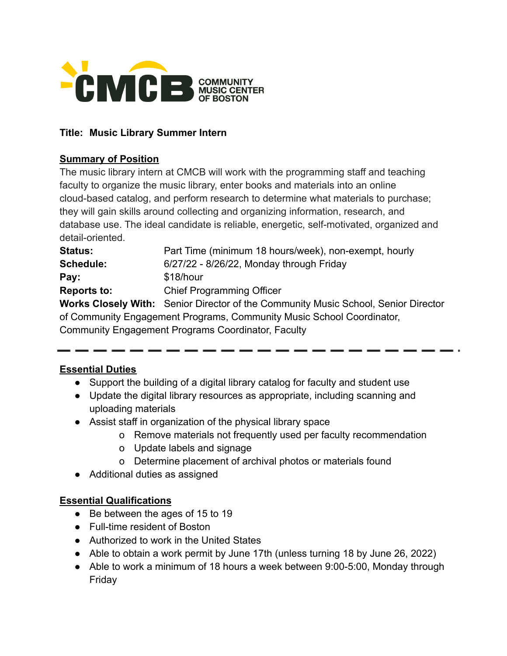

### **Title: Music Library Summer Intern**

#### **Summary of Position**

The music library intern at CMCB will work with the programming staff and teaching faculty to organize the music library, enter books and materials into an online cloud-based catalog, and perform research to determine what materials to purchase; they will gain skills around collecting and organizing information, research, and database use. The ideal candidate is reliable, energetic, self-motivated, organized and detail-oriented.

| <b>Status:</b>                                                        | Part Time (minimum 18 hours/week), non-exempt, hourly                                     |
|-----------------------------------------------------------------------|-------------------------------------------------------------------------------------------|
| Schedule:                                                             | 6/27/22 - 8/26/22, Monday through Friday                                                  |
| Pay:                                                                  | \$18/hour                                                                                 |
| <b>Reports to:</b>                                                    | <b>Chief Programming Officer</b>                                                          |
|                                                                       | <b>Works Closely With:</b> Senior Director of the Community Music School, Senior Director |
| of Community Engagement Programs, Community Music School Coordinator, |                                                                                           |
| <b>Community Engagement Programs Coordinator, Faculty</b>             |                                                                                           |

#### **Essential Duties**

- Support the building of a digital library catalog for faculty and student use
- Update the digital library resources as appropriate, including scanning and uploading materials
- Assist staff in organization of the physical library space
	- o Remove materials not frequently used per faculty recommendation
	- o Update labels and signage
	- o Determine placement of archival photos or materials found
- Additional duties as assigned

#### **Essential Qualifications**

- Be between the ages of 15 to 19
- Full-time resident of Boston
- Authorized to work in the United States
- Able to obtain a work permit by June 17th (unless turning 18 by June 26, 2022)
- Able to work a minimum of 18 hours a week between 9:00-5:00, Monday through Friday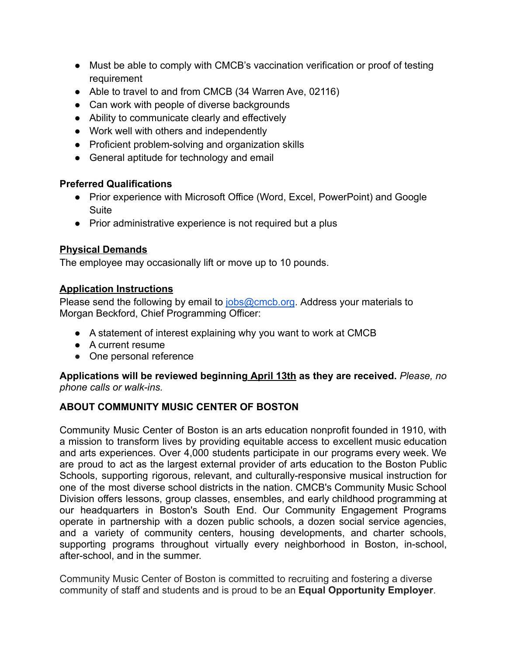- Must be able to comply with CMCB's vaccination verification or proof of testing requirement
- Able to travel to and from CMCB (34 Warren Ave, 02116)
- Can work with people of diverse backgrounds
- Ability to communicate clearly and effectively
- Work well with others and independently
- Proficient problem-solving and organization skills
- General aptitude for technology and email

#### **Preferred Qualifications**

- Prior experience with Microsoft Office (Word, Excel, PowerPoint) and Google **Suite**
- Prior administrative experience is not required but a plus

## **Physical Demands**

The employee may occasionally lift or move up to 10 pounds.

## **Application Instructions**

Please send the following by email to [jobs@cmcb.org](mailto:jobs@cmcb.org). Address your materials to Morgan Beckford, Chief Programming Officer:

- A statement of interest explaining why you want to work at CMCB
- A current resume
- One personal reference

**Applications will be reviewed beginning April 13th as they are received.** *Please, no phone calls or walk-ins.*

# **ABOUT COMMUNITY MUSIC CENTER OF BOSTON**

Community Music Center of Boston is an arts education nonprofit founded in 1910, with a mission to transform lives by providing equitable access to excellent music education and arts experiences. Over 4,000 students participate in our programs every week. We are proud to act as the largest external provider of arts education to the Boston Public Schools, supporting rigorous, relevant, and culturally-responsive musical instruction for one of the most diverse school districts in the nation. CMCB's Community Music School Division offers lessons, group classes, ensembles, and early childhood programming at our headquarters in Boston's South End. Our Community Engagement Programs operate in partnership with a dozen public schools, a dozen social service agencies, and a variety of community centers, housing developments, and charter schools, supporting programs throughout virtually every neighborhood in Boston, in-school, after-school, and in the summer.

Community Music Center of Boston is committed to recruiting and fostering a diverse community of staff and students and is proud to be an **Equal Opportunity Employer**.